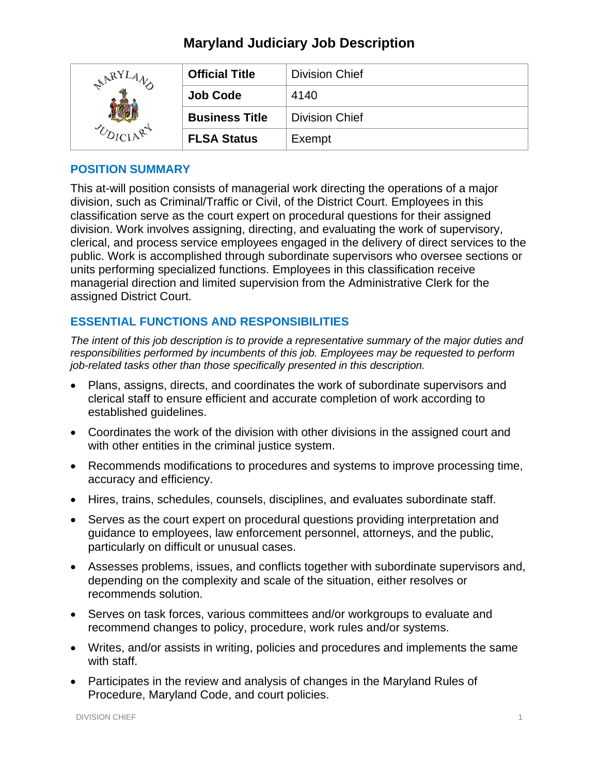| ARY <sup>T</sup> | <b>Official Title</b> | <b>Division Chief</b> |
|------------------|-----------------------|-----------------------|
|                  | <b>Job Code</b>       | 4140                  |
|                  | <b>Business Title</b> | <b>Division Chief</b> |
|                  | <b>FLSA Status</b>    | Exempt                |

## **POSITION SUMMARY**

This at-will position consists of managerial work directing the operations of a major division, such as Criminal/Traffic or Civil, of the District Court. Employees in this classification serve as the court expert on procedural questions for their assigned division. Work involves assigning, directing, and evaluating the work of supervisory, clerical, and process service employees engaged in the delivery of direct services to the public. Work is accomplished through subordinate supervisors who oversee sections or units performing specialized functions. Employees in this classification receive managerial direction and limited supervision from the Administrative Clerk for the assigned District Court.

# **ESSENTIAL FUNCTIONS AND RESPONSIBILITIES**

*The intent of this job description is to provide a representative summary of the major duties and responsibilities performed by incumbents of this job. Employees may be requested to perform job-related tasks other than those specifically presented in this description.*

- Plans, assigns, directs, and coordinates the work of subordinate supervisors and clerical staff to ensure efficient and accurate completion of work according to established guidelines.
- Coordinates the work of the division with other divisions in the assigned court and with other entities in the criminal justice system.
- Recommends modifications to procedures and systems to improve processing time, accuracy and efficiency.
- Hires, trains, schedules, counsels, disciplines, and evaluates subordinate staff.
- Serves as the court expert on procedural questions providing interpretation and guidance to employees, law enforcement personnel, attorneys, and the public, particularly on difficult or unusual cases.
- Assesses problems, issues, and conflicts together with subordinate supervisors and, depending on the complexity and scale of the situation, either resolves or recommends solution.
- Serves on task forces, various committees and/or workgroups to evaluate and recommend changes to policy, procedure, work rules and/or systems.
- Writes, and/or assists in writing, policies and procedures and implements the same with staff.
- Participates in the review and analysis of changes in the Maryland Rules of Procedure, Maryland Code, and court policies.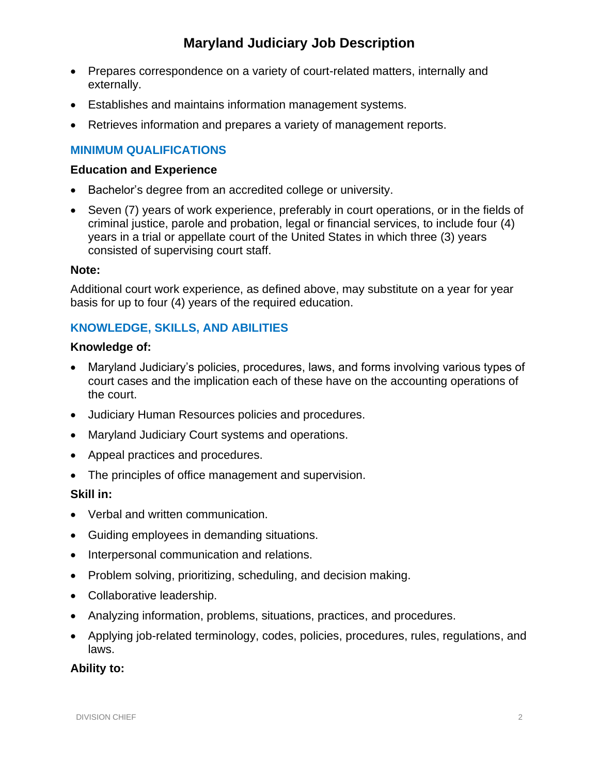- Prepares correspondence on a variety of court-related matters, internally and externally.
- Establishes and maintains information management systems.
- Retrieves information and prepares a variety of management reports.

## **MINIMUM QUALIFICATIONS**

#### **Education and Experience**

- Bachelor's degree from an accredited college or university.
- Seven (7) years of work experience, preferably in court operations, or in the fields of criminal justice, parole and probation, legal or financial services, to include four (4) years in a trial or appellate court of the United States in which three (3) years consisted of supervising court staff.

#### **Note:**

Additional court work experience, as defined above, may substitute on a year for year basis for up to four (4) years of the required education.

## **KNOWLEDGE, SKILLS, AND ABILITIES**

#### **Knowledge of:**

- Maryland Judiciary's policies, procedures, laws, and forms involving various types of court cases and the implication each of these have on the accounting operations of the court.
- Judiciary Human Resources policies and procedures.
- Maryland Judiciary Court systems and operations.
- Appeal practices and procedures.
- The principles of office management and supervision.

### **Skill in:**

- Verbal and written communication.
- Guiding employees in demanding situations.
- Interpersonal communication and relations.
- Problem solving, prioritizing, scheduling, and decision making.
- Collaborative leadership.
- Analyzing information, problems, situations, practices, and procedures.
- Applying job-related terminology, codes, policies, procedures, rules, regulations, and laws.

#### **Ability to:**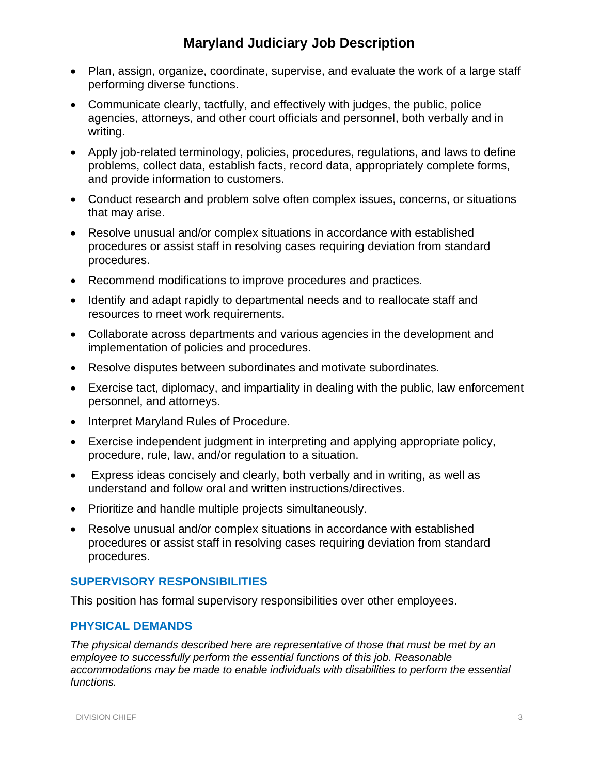- Plan, assign, organize, coordinate, supervise, and evaluate the work of a large staff performing diverse functions.
- Communicate clearly, tactfully, and effectively with judges, the public, police agencies, attorneys, and other court officials and personnel, both verbally and in writing.
- Apply job-related terminology, policies, procedures, regulations, and laws to define problems, collect data, establish facts, record data, appropriately complete forms, and provide information to customers.
- Conduct research and problem solve often complex issues, concerns, or situations that may arise.
- Resolve unusual and/or complex situations in accordance with established procedures or assist staff in resolving cases requiring deviation from standard procedures.
- Recommend modifications to improve procedures and practices.
- Identify and adapt rapidly to departmental needs and to reallocate staff and resources to meet work requirements.
- Collaborate across departments and various agencies in the development and implementation of policies and procedures.
- Resolve disputes between subordinates and motivate subordinates.
- Exercise tact, diplomacy, and impartiality in dealing with the public, law enforcement personnel, and attorneys.
- Interpret Maryland Rules of Procedure.
- Exercise independent judgment in interpreting and applying appropriate policy, procedure, rule, law, and/or regulation to a situation.
- Express ideas concisely and clearly, both verbally and in writing, as well as understand and follow oral and written instructions/directives.
- Prioritize and handle multiple projects simultaneously.
- Resolve unusual and/or complex situations in accordance with established procedures or assist staff in resolving cases requiring deviation from standard procedures.

### **SUPERVISORY RESPONSIBILITIES**

This position has formal supervisory responsibilities over other employees.

### **PHYSICAL DEMANDS**

*The physical demands described here are representative of those that must be met by an employee to successfully perform the essential functions of this job. Reasonable accommodations may be made to enable individuals with disabilities to perform the essential functions.*